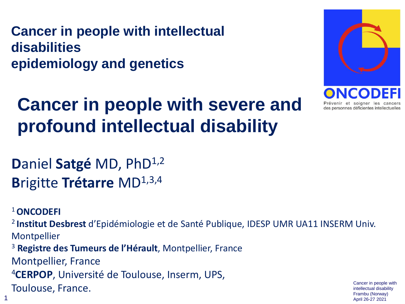**Cancer in people with intellectual disabilities epidemiology and genetics**





**D**aniel Satgé MD, PhD<sup>1,2</sup> **Brigitte Trétarre MD**<sup>1,3,4</sup>

<sup>1</sup>**ONCODEFI** 

<sup>2</sup>**Institut Desbrest** d'Epidémiologie et de Santé Publique, IDESP UMR UA11 INSERM Univ. **Montpellier** 

<sup>3</sup> **Registre des Tumeurs de l'Hérault**, Montpellier, France

Montpellier, France

<sup>4</sup>**CERPOP**, Université de Toulouse, Inserm, UPS,

Toulouse, France. Cancer in people with the Cancer in people with the Cancer in people with  $\frac{C \text{ance in people with}}{\text{intellectual disability}}$ 

intellectual disability Frambu (Norway)  $1$ <br>April 26-27 2021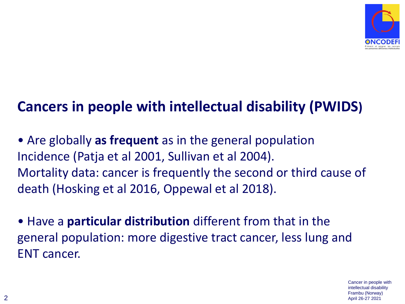

#### **Cancers in people with intellectual disability (PWIDS)**

• Are globally **as frequent** as in the general population Incidence (Patja et al 2001, Sullivan et al 2004). Mortality data: cancer is frequently the second or third cause of death (Hosking et al 2016, Oppewal et al 2018).

• Have a **particular distribution** different from that in the general population: more digestive tract cancer, less lung and ENT cancer.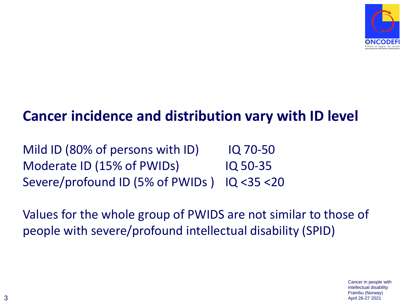

#### **Cancer incidence and distribution vary with ID level**

Mild ID (80% of persons with ID) IQ 70-50 Moderate ID (15% of PWIDs) IQ 50-35 Severe/profound ID (5% of PWIDs ) IQ <35 <20

Values for the whole group of PWIDS are not similar to those of people with severe/profound intellectual disability (SPID)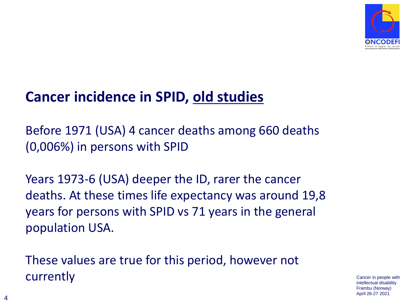

#### **Cancer incidence in SPID, old studies**

Before 1971 (USA) 4 cancer deaths among 660 deaths (0,006%) in persons with SPID

Years 1973-6 (USA) deeper the ID, rarer the cancer deaths. At these times life expectancy was around 19,8 years for persons with SPID vs 71 years in the general population USA.

These values are true for this period, however not currently cancer in people with

intellectual disability Frambu (Norway) April 26-27 2021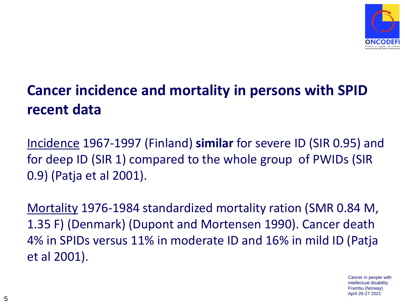

## **Cancer incidence and mortality in persons with SPID recent data**

Incidence 1967-1997 (Finland) **similar** for severe ID (SIR 0.95) and for deep ID (SIR 1) compared to the whole group of PWIDs (SIR 0.9) (Patja et al 2001).

Mortality 1976-1984 standardized mortality ration (SMR 0.84 M, 1.35 F) (Denmark) (Dupont and Mortensen 1990). Cancer death 4% in SPIDs versus 11% in moderate ID and 16% in mild ID (Patja et al 2001).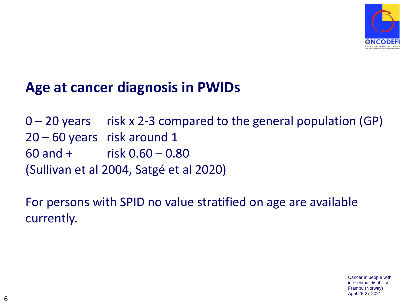

#### **Age at cancer diagnosis in PWIDs**

 $0 - 20$  years risk x 2-3 compared to the general population (GP) 20 – 60 years risk around 1 60 and + risk 0.60 – 0.80 (Sullivan et al 2004, Satgé et al 2020)

For persons with SPID no value stratified on age are available currently.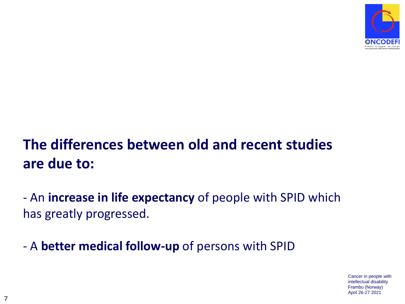

## **The differences between old and recent studies are due to:**

- An **increase in life expectancy** of people with SPID which has greatly progressed.

- A **better medical follow-up** of persons with SPID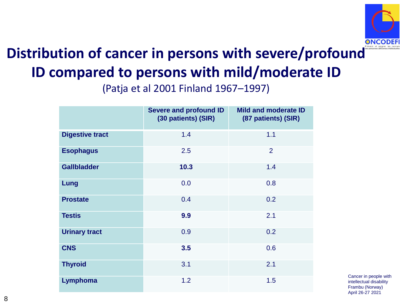

## **Distribution of cancer in persons with severe/profound ID compared to persons with mild/moderate ID**

(Patja et al 2001 Finland 1967–1997)

|                        | Severe and profound ID<br>(30 patients) (SIR) | <b>Mild and moderate ID</b><br>(87 patients) (SIR) |
|------------------------|-----------------------------------------------|----------------------------------------------------|
| <b>Digestive tract</b> | 1.4                                           | 1.1                                                |
| <b>Esophagus</b>       | 2.5                                           | $\overline{2}$                                     |
| <b>Gallbladder</b>     | 10.3                                          | 1.4                                                |
| Lung                   | 0.0                                           | 0.8                                                |
| <b>Prostate</b>        | 0.4                                           | 0.2                                                |
| <b>Testis</b>          | 9.9                                           | 2.1                                                |
| <b>Urinary tract</b>   | 0.9                                           | 0.2                                                |
| <b>CNS</b>             | 3.5                                           | 0.6                                                |
| <b>Thyroid</b>         | 3.1                                           | 2.1                                                |
| Lymphoma               | 1.2                                           | 1.5                                                |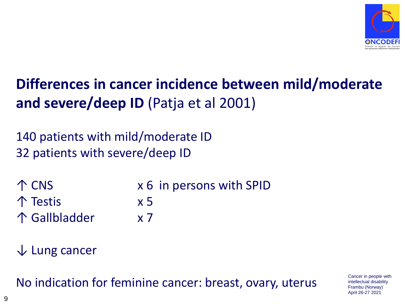

#### **Differences in cancer incidence between mild/moderate and severe/deep ID** (Patja et al 2001)

140 patients with mild/moderate ID 32 patients with severe/deep ID

↑ CNS x 6 in persons with SPID ↑ Testis x 5 ↑ Gallbladder x 7

↓ Lung cancer

No indication for feminine cancer: breast, ovary, uterus Cancer in people with

intellectual disability Frambu (Norway) April 26-27 2021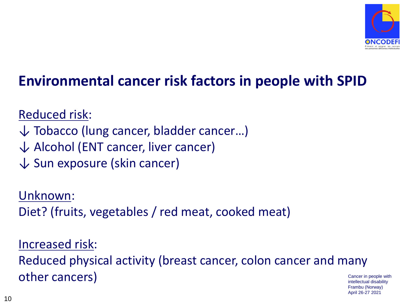

#### **Environmental cancer risk factors in people with SPID**

Reduced risk:

- ↓ Tobacco (lung cancer, bladder cancer…)
- $\downarrow$  Alcohol (ENT cancer, liver cancer)
- $\downarrow$  Sun exposure (skin cancer)

Unknown: Diet? (fruits, vegetables / red meat, cooked meat)

Increased risk: Reduced physical activity (breast cancer, colon cancer and many other cancers) and the control of the control of the control of the control of the control of the control of the control of the control of the control of the control of the control of the control of the control of the cont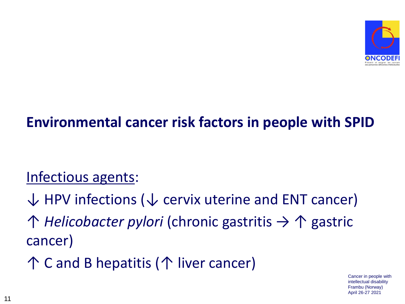

#### **Environmental cancer risk factors in people with SPID**

#### Infectious agents:

 $\downarrow$  HPV infections ( $\downarrow$  cervix uterine and ENT cancer) ↑ *Helicobacter pylori* (chronic gastritis → ↑ gastric cancer) ↑ C and B hepatitis (↑ liver cancer)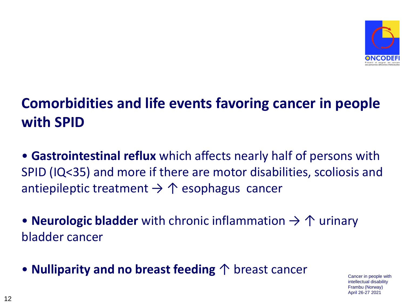

## **Comorbidities and life events favoring cancer in people with SPID**

- **Gastrointestinal reflux** which affects nearly half of persons with SPID (IQ<35) and more if there are motor disabilities, scoliosis and antiepileptic treatment  $\rightarrow \uparrow$  esophagus cancer
- **Neurologic bladder** with chronic inflammation → ↑ urinary bladder cancer
- **Nulliparity and no breast feeding** ↑ breast cancer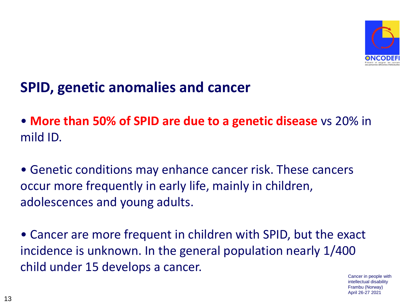

#### **SPID, genetic anomalies and cancer**

• **More than 50% of SPID are due to a genetic disease** vs 20% in mild ID.

• Genetic conditions may enhance cancer risk. These cancers occur more frequently in early life, mainly in children, adolescences and young adults.

• Cancer are more frequent in children with SPID, but the exact incidence is unknown. In the general population nearly 1/400 child under 15 develops a cancer.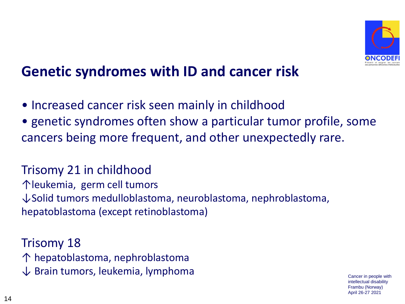

#### **Genetic syndromes with ID and cancer risk**

- Increased cancer risk seen mainly in childhood
- genetic syndromes often show a particular tumor profile, some cancers being more frequent, and other unexpectedly rare.

#### Trisomy 21 in childhood

↑leukemia, germ cell tumors ↓Solid tumors medulloblastoma, neuroblastoma, nephroblastoma, hepatoblastoma (except retinoblastoma)

Trisomy 18 ↑ hepatoblastoma, nephroblastoma  $\downarrow$  Brain tumors, leukemia, lymphoma  $_{\hspace{15pt} \text{Cancer in people with}}$ 

intellectual disability Frambu (Norway) April 26-27 2021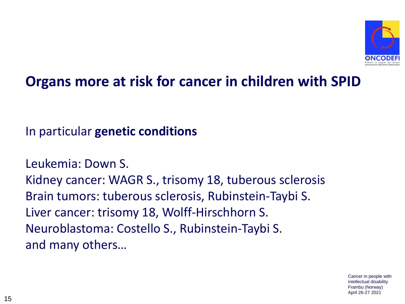

#### **Organs more at risk for cancer in children with SPID**

In particular **genetic conditions**

Leukemia: Down S. Kidney cancer: WAGR S., trisomy 18, tuberous sclerosis Brain tumors: tuberous sclerosis, Rubinstein-Taybi S. Liver cancer: trisomy 18, Wolff-Hirschhorn S. Neuroblastoma: Costello S., Rubinstein-Taybi S. and many others…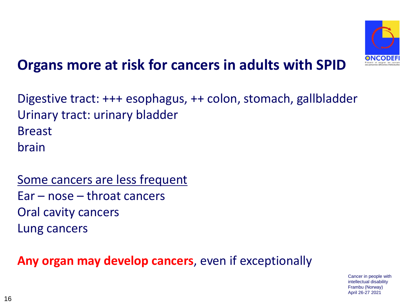

#### **Organs more at risk for cancers in adults with SPID**

Digestive tract: +++ esophagus, ++ colon, stomach, gallbladder Urinary tract: urinary bladder Breast brain

Some cancers are less frequent Ear – nose – throat cancers Oral cavity cancers Lung cancers

**Any organ may develop cancers**, even if exceptionally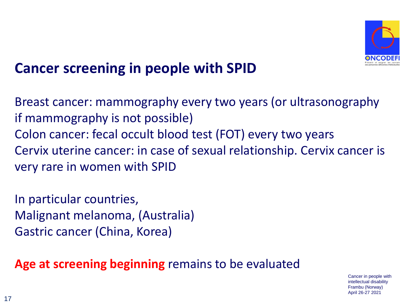

#### **Cancer screening in people with SPID**

Breast cancer: mammography every two years (or ultrasonography if mammography is not possible) Colon cancer: fecal occult blood test (FOT) every two years Cervix uterine cancer: in case of sexual relationship. Cervix cancer is very rare in women with SPID

In particular countries, Malignant melanoma, (Australia) Gastric cancer (China, Korea)

**Age at screening beginning** remains to be evaluated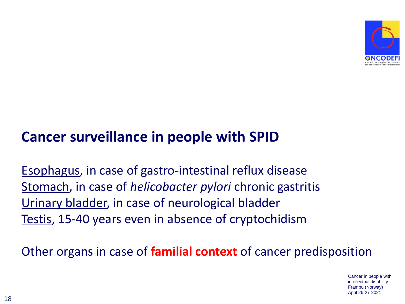

#### **Cancer surveillance in people with SPID**

Esophagus, in case of gastro-intestinal reflux disease Stomach, in case of *helicobacter pylori* chronic gastritis Urinary bladder, in case of neurological bladder Testis, 15-40 years even in absence of cryptochidism

Other organs in case of **familial context** of cancer predisposition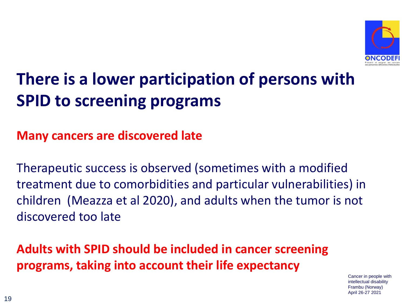

# **There is a lower participation of persons with SPID to screening programs**

#### **Many cancers are discovered late**

Therapeutic success is observed (sometimes with a modified treatment due to comorbidities and particular vulnerabilities) in children (Meazza et al 2020), and adults when the tumor is not discovered too late

**Adults with SPID should be included in cancer screening programs, taking into account their life expectancy**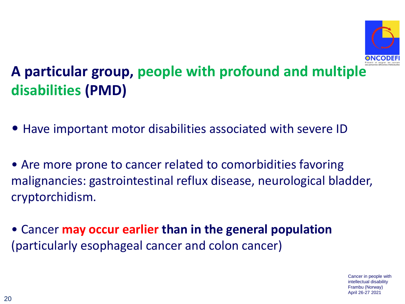

### **A particular group, people with profound and multiple disabilities (PMD)**

- Have important motor disabilities associated with severe ID
- Are more prone to cancer related to comorbidities favoring malignancies: gastrointestinal reflux disease, neurological bladder, cryptorchidism.
- Cancer **may occur earlier than in the general population**  (particularly esophageal cancer and colon cancer)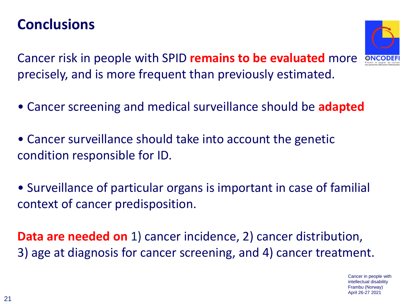#### **Conclusions**

Cancer risk in people with SPID **remains to be evaluated** more precisely, and is more frequent than previously estimated.

- Cancer screening and medical surveillance should be **adapted**
- Cancer surveillance should take into account the genetic condition responsible for ID.
- Surveillance of particular organs is important in case of familial context of cancer predisposition.

**Data are needed on** 1) cancer incidence, 2) cancer distribution, 3) age at diagnosis for cancer screening, and 4) cancer treatment.